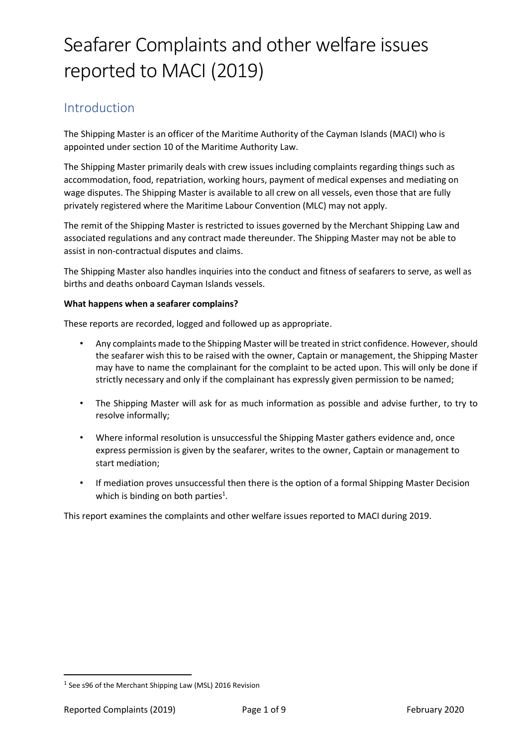### Introduction

The Shipping Master is an officer of the Maritime Authority of the Cayman Islands (MACI) who is appointed under section 10 of the Maritime Authority Law.

The Shipping Master primarily deals with crew issues including complaints regarding things such as accommodation, food, repatriation, working hours, payment of medical expenses and mediating on wage disputes. The Shipping Master is available to all crew on all vessels, even those that are fully privately registered where the Maritime Labour Convention (MLC) may not apply.

The remit of the Shipping Master is restricted to issues governed by the Merchant Shipping Law and associated regulations and any contract made thereunder. The Shipping Master may not be able to assist in non-contractual disputes and claims.

The Shipping Master also handles inquiries into the conduct and fitness of seafarers to serve, as well as births and deaths onboard Cayman Islands vessels.

#### **What happens when a seafarer complains?**

These reports are recorded, logged and followed up as appropriate.

- Any complaints made to the Shipping Master will be treated in strict confidence. However, should the seafarer wish this to be raised with the owner, Captain or management, the Shipping Master may have to name the complainant for the complaint to be acted upon. This will only be done if strictly necessary and only if the complainant has expressly given permission to be named;
- The Shipping Master will ask for as much information as possible and advise further, to try to resolve informally;
- Where informal resolution is unsuccessful the Shipping Master gathers evidence and, once express permission is given by the seafarer, writes to the owner, Captain or management to start mediation;
- If mediation proves unsuccessful then there is the option of a formal Shipping Master Decision which is binding on both parties $^1$ .

This report examines the complaints and other welfare issues reported to MACI during 2019.

<sup>&</sup>lt;sup>1</sup> See s96 of the Merchant Shipping Law (MSL) 2016 Revision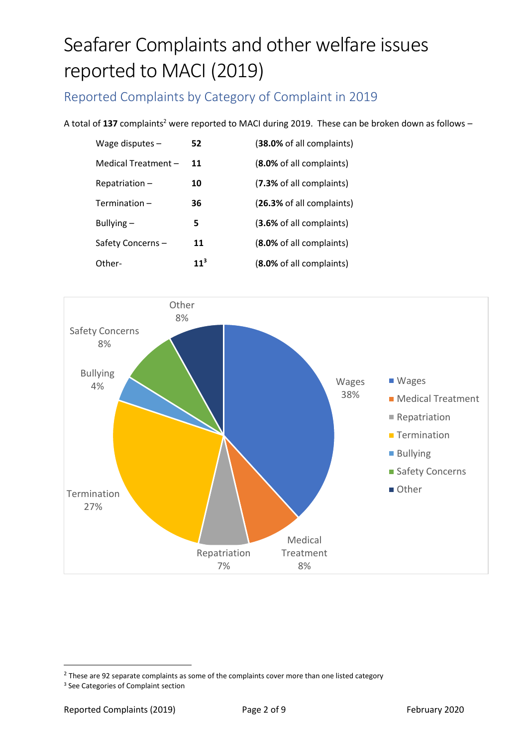Reported Complaints by Category of Complaint in 2019

A total of 137 complaints<sup>2</sup> were reported to MACI during 2019. These can be broken down as follows -

| 52              | (38.0% of all complaints)       |
|-----------------|---------------------------------|
| 11              | <b>(8.0%</b> of all complaints) |
| 10              | (7.3% of all complaints)        |
| 36              | (26.3% of all complaints)       |
| 5               | (3.6% of all complaints)        |
| 11              | (8.0% of all complaints)        |
| 11 <sup>3</sup> | (8.0% of all complaints)        |
|                 |                                 |



 $2$  These are 92 separate complaints as some of the complaints cover more than one listed category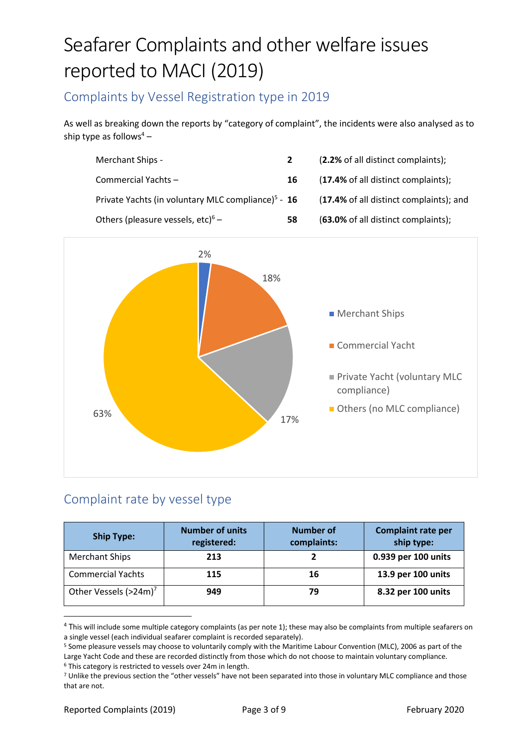### Complaints by Vessel Registration type in 2019

As well as breaking down the reports by "category of complaint", the incidents were also analysed as to ship type as follows<sup>4</sup> –

| Merchant Ships -                                               |    | (2.2% of all distinct complaints);      |
|----------------------------------------------------------------|----|-----------------------------------------|
| Commercial Yachts-                                             | 16 | (17.4% of all distinct complaints);     |
| Private Yachts (in voluntary MLC compliance) <sup>5</sup> - 16 |    | (17.4% of all distinct complaints); and |
| Others (pleasure vessels, etc) <sup>6</sup> –                  | 58 | (63.0% of all distinct complaints);     |



### Complaint rate by vessel type

| <b>Ship Type:</b>                 | <b>Number of units</b><br>registered: | <b>Number of</b><br>complaints: | <b>Complaint rate per</b><br>ship type: |
|-----------------------------------|---------------------------------------|---------------------------------|-----------------------------------------|
| <b>Merchant Ships</b>             | 213                                   |                                 | 0.939 per 100 units                     |
| <b>Commercial Yachts</b>          | 115                                   | 16                              | 13.9 per 100 units                      |
| Other Vessels (>24m) <sup>7</sup> | 949                                   | 79                              | 8.32 per 100 units                      |

<sup>&</sup>lt;sup>4</sup> This will include some multiple category complaints (as per note 1); these may also be complaints from multiple seafarers on a single vessel (each individual seafarer complaint is recorded separately).

<sup>5</sup> Some pleasure vessels may choose to voluntarily comply with the Maritime Labour Convention (MLC), 2006 as part of the Large Yacht Code and these are recorded distinctly from those which do not choose to maintain voluntary compliance. <sup>6</sup> This category is restricted to vessels over 24m in length.

<sup>7</sup> Unlike the previous section the "other vessels" have not been separated into those in voluntary MLC compliance and those that are not.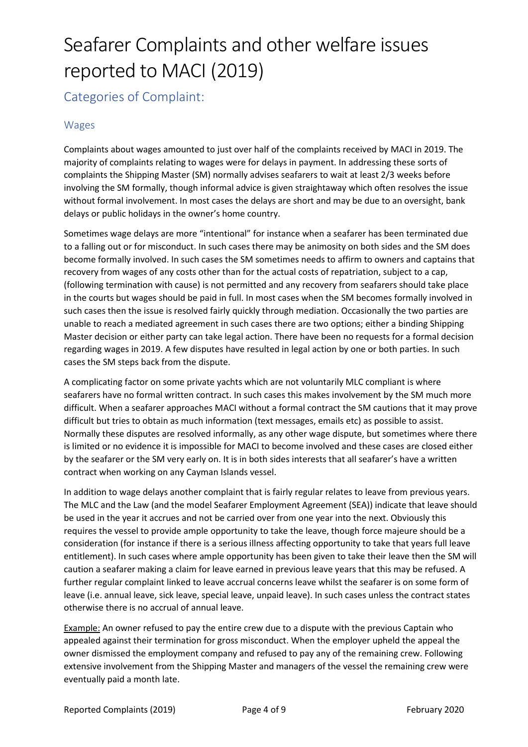Categories of Complaint:

#### Wages

Complaints about wages amounted to just over half of the complaints received by MACI in 2019. The majority of complaints relating to wages were for delays in payment. In addressing these sorts of complaints the Shipping Master (SM) normally advises seafarers to wait at least 2/3 weeks before involving the SM formally, though informal advice is given straightaway which often resolves the issue without formal involvement. In most cases the delays are short and may be due to an oversight, bank delays or public holidays in the owner's home country.

Sometimes wage delays are more "intentional" for instance when a seafarer has been terminated due to a falling out or for misconduct. In such cases there may be animosity on both sides and the SM does become formally involved. In such cases the SM sometimes needs to affirm to owners and captains that recovery from wages of any costs other than for the actual costs of repatriation, subject to a cap, (following termination with cause) is not permitted and any recovery from seafarers should take place in the courts but wages should be paid in full. In most cases when the SM becomes formally involved in such cases then the issue is resolved fairly quickly through mediation. Occasionally the two parties are unable to reach a mediated agreement in such cases there are two options; either a binding Shipping Master decision or either party can take legal action. There have been no requests for a formal decision regarding wages in 2019. A few disputes have resulted in legal action by one or both parties. In such cases the SM steps back from the dispute.

A complicating factor on some private yachts which are not voluntarily MLC compliant is where seafarers have no formal written contract. In such cases this makes involvement by the SM much more difficult. When a seafarer approaches MACI without a formal contract the SM cautions that it may prove difficult but tries to obtain as much information (text messages, emails etc) as possible to assist. Normally these disputes are resolved informally, as any other wage dispute, but sometimes where there is limited or no evidence it is impossible for MACI to become involved and these cases are closed either by the seafarer or the SM very early on. It is in both sides interests that all seafarer's have a written contract when working on any Cayman Islands vessel.

In addition to wage delays another complaint that is fairly regular relates to leave from previous years. The MLC and the Law (and the model Seafarer Employment Agreement (SEA)) indicate that leave should be used in the year it accrues and not be carried over from one year into the next. Obviously this requires the vessel to provide ample opportunity to take the leave, though force majeure should be a consideration (for instance if there is a serious illness affecting opportunity to take that years full leave entitlement). In such cases where ample opportunity has been given to take their leave then the SM will caution a seafarer making a claim for leave earned in previous leave years that this may be refused. A further regular complaint linked to leave accrual concerns leave whilst the seafarer is on some form of leave (i.e. annual leave, sick leave, special leave, unpaid leave). In such cases unless the contract states otherwise there is no accrual of annual leave.

Example: An owner refused to pay the entire crew due to a dispute with the previous Captain who appealed against their termination for gross misconduct. When the employer upheld the appeal the owner dismissed the employment company and refused to pay any of the remaining crew. Following extensive involvement from the Shipping Master and managers of the vessel the remaining crew were eventually paid a month late.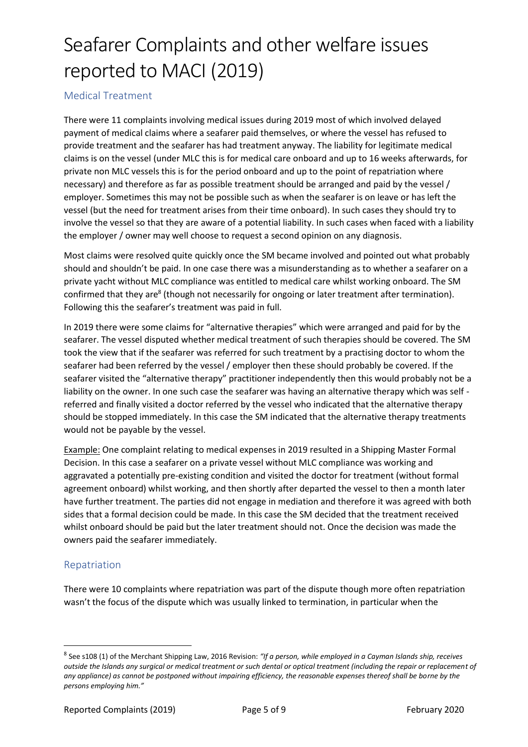#### Medical Treatment

There were 11 complaints involving medical issues during 2019 most of which involved delayed payment of medical claims where a seafarer paid themselves, or where the vessel has refused to provide treatment and the seafarer has had treatment anyway. The liability for legitimate medical claims is on the vessel (under MLC this is for medical care onboard and up to 16 weeks afterwards, for private non MLC vessels this is for the period onboard and up to the point of repatriation where necessary) and therefore as far as possible treatment should be arranged and paid by the vessel / employer. Sometimes this may not be possible such as when the seafarer is on leave or has left the vessel (but the need for treatment arises from their time onboard). In such cases they should try to involve the vessel so that they are aware of a potential liability. In such cases when faced with a liability the employer / owner may well choose to request a second opinion on any diagnosis.

Most claims were resolved quite quickly once the SM became involved and pointed out what probably should and shouldn't be paid. In one case there was a misunderstanding as to whether a seafarer on a private yacht without MLC compliance was entitled to medical care whilst working onboard. The SM confirmed that they are<sup>8</sup> (though not necessarily for ongoing or later treatment after termination). Following this the seafarer's treatment was paid in full.

In 2019 there were some claims for "alternative therapies" which were arranged and paid for by the seafarer. The vessel disputed whether medical treatment of such therapies should be covered. The SM took the view that if the seafarer was referred for such treatment by a practising doctor to whom the seafarer had been referred by the vessel / employer then these should probably be covered. If the seafarer visited the "alternative therapy" practitioner independently then this would probably not be a liability on the owner. In one such case the seafarer was having an alternative therapy which was self referred and finally visited a doctor referred by the vessel who indicated that the alternative therapy should be stopped immediately. In this case the SM indicated that the alternative therapy treatments would not be payable by the vessel.

Example: One complaint relating to medical expenses in 2019 resulted in a Shipping Master Formal Decision. In this case a seafarer on a private vessel without MLC compliance was working and aggravated a potentially pre-existing condition and visited the doctor for treatment (without formal agreement onboard) whilst working, and then shortly after departed the vessel to then a month later have further treatment. The parties did not engage in mediation and therefore it was agreed with both sides that a formal decision could be made. In this case the SM decided that the treatment received whilst onboard should be paid but the later treatment should not. Once the decision was made the owners paid the seafarer immediately.

#### Repatriation

There were 10 complaints where repatriation was part of the dispute though more often repatriation wasn't the focus of the dispute which was usually linked to termination, in particular when the

<sup>8</sup> See s108 (1) of the Merchant Shipping Law, 2016 Revision: *"If a person, while employed in a Cayman Islands ship, receives outside the Islands any surgical or medical treatment or such dental or optical treatment (including the repair or replacement of any appliance) as cannot be postponed without impairing efficiency, the reasonable expenses thereof shall be borne by the persons employing him."*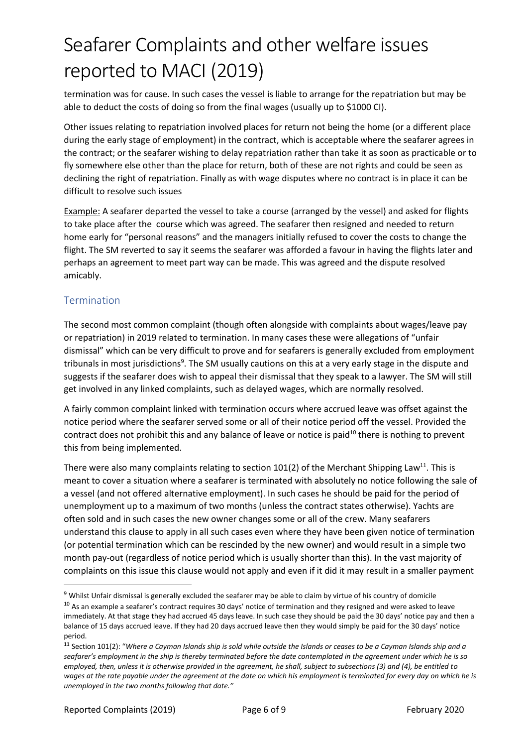termination was for cause. In such cases the vessel is liable to arrange for the repatriation but may be able to deduct the costs of doing so from the final wages (usually up to \$1000 CI).

Other issues relating to repatriation involved places for return not being the home (or a different place during the early stage of employment) in the contract, which is acceptable where the seafarer agrees in the contract; or the seafarer wishing to delay repatriation rather than take it as soon as practicable or to fly somewhere else other than the place for return, both of these are not rights and could be seen as declining the right of repatriation. Finally as with wage disputes where no contract is in place it can be difficult to resolve such issues

Example: A seafarer departed the vessel to take a course (arranged by the vessel) and asked for flights to take place after the course which was agreed. The seafarer then resigned and needed to return home early for "personal reasons" and the managers initially refused to cover the costs to change the flight. The SM reverted to say it seems the seafarer was afforded a favour in having the flights later and perhaps an agreement to meet part way can be made. This was agreed and the dispute resolved amicably.

#### Termination

The second most common complaint (though often alongside with complaints about wages/leave pay or repatriation) in 2019 related to termination. In many cases these were allegations of "unfair dismissal" which can be very difficult to prove and for seafarers is generally excluded from employment tribunals in most jurisdictions<sup>9</sup>. The SM usually cautions on this at a very early stage in the dispute and suggests if the seafarer does wish to appeal their dismissal that they speak to a lawyer. The SM will still get involved in any linked complaints, such as delayed wages, which are normally resolved.

A fairly common complaint linked with termination occurs where accrued leave was offset against the notice period where the seafarer served some or all of their notice period off the vessel. Provided the contract does not prohibit this and any balance of leave or notice is paid $10$  there is nothing to prevent this from being implemented.

There were also many complaints relating to section  $101(2)$  of the Merchant Shipping Law<sup>11</sup>. This is meant to cover a situation where a seafarer is terminated with absolutely no notice following the sale of a vessel (and not offered alternative employment). In such cases he should be paid for the period of unemployment up to a maximum of two months (unless the contract states otherwise). Yachts are often sold and in such cases the new owner changes some or all of the crew. Many seafarers understand this clause to apply in all such cases even where they have been given notice of termination (or potential termination which can be rescinded by the new owner) and would result in a simple two month pay-out (regardless of notice period which is usually shorter than this). In the vast majority of complaints on this issue this clause would not apply and even if it did it may result in a smaller payment

 $9$  Whilst Unfair dismissal is generally excluded the seafarer may be able to claim by virtue of his country of domicile

 $10$  As an example a seafarer's contract requires 30 days' notice of termination and they resigned and were asked to leave immediately. At that stage they had accrued 45 days leave. In such case they should be paid the 30 days' notice pay and then a balance of 15 days accrued leave. If they had 20 days accrued leave then they would simply be paid for the 30 days' notice period.

<sup>11</sup> Section 101(2): "*Where a Cayman Islands ship is sold while outside the Islands or ceases to be a Cayman Islands ship and a seafarer's employment in the ship is thereby terminated before the date contemplated in the agreement under which he is so employed, then, unless it is otherwise provided in the agreement, he shall, subject to subsections (3) and (4), be entitled to wages at the rate payable under the agreement at the date on which his employment is terminated for every day on which he is unemployed in the two months following that date."*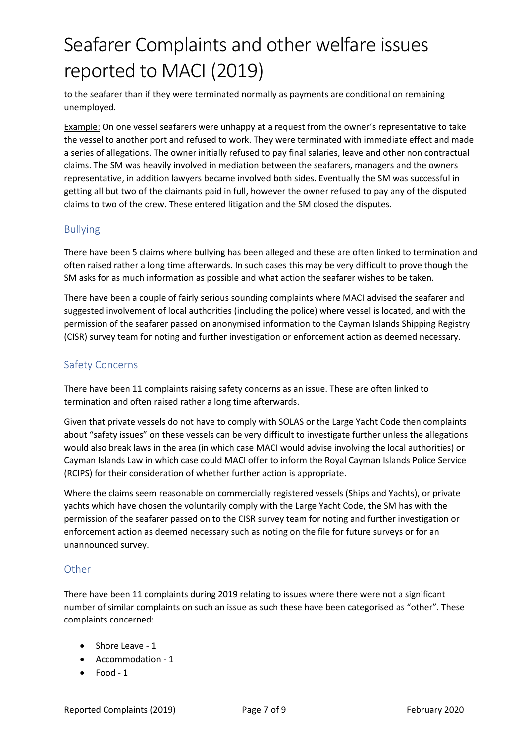to the seafarer than if they were terminated normally as payments are conditional on remaining unemployed.

Example: On one vessel seafarers were unhappy at a request from the owner's representative to take the vessel to another port and refused to work. They were terminated with immediate effect and made a series of allegations. The owner initially refused to pay final salaries, leave and other non contractual claims. The SM was heavily involved in mediation between the seafarers, managers and the owners representative, in addition lawyers became involved both sides. Eventually the SM was successful in getting all but two of the claimants paid in full, however the owner refused to pay any of the disputed claims to two of the crew. These entered litigation and the SM closed the disputes.

#### Bullying

There have been 5 claims where bullying has been alleged and these are often linked to termination and often raised rather a long time afterwards. In such cases this may be very difficult to prove though the SM asks for as much information as possible and what action the seafarer wishes to be taken.

There have been a couple of fairly serious sounding complaints where MACI advised the seafarer and suggested involvement of local authorities (including the police) where vessel is located, and with the permission of the seafarer passed on anonymised information to the Cayman Islands Shipping Registry (CISR) survey team for noting and further investigation or enforcement action as deemed necessary.

#### Safety Concerns

There have been 11 complaints raising safety concerns as an issue. These are often linked to termination and often raised rather a long time afterwards.

Given that private vessels do not have to comply with SOLAS or the Large Yacht Code then complaints about "safety issues" on these vessels can be very difficult to investigate further unless the allegations would also break laws in the area (in which case MACI would advise involving the local authorities) or Cayman Islands Law in which case could MACI offer to inform the Royal Cayman Islands Police Service (RCIPS) for their consideration of whether further action is appropriate.

Where the claims seem reasonable on commercially registered vessels (Ships and Yachts), or private yachts which have chosen the voluntarily comply with the Large Yacht Code, the SM has with the permission of the seafarer passed on to the CISR survey team for noting and further investigation or enforcement action as deemed necessary such as noting on the file for future surveys or for an unannounced survey.

#### **Other**

There have been 11 complaints during 2019 relating to issues where there were not a significant number of similar complaints on such an issue as such these have been categorised as "other". These complaints concerned:

- Shore Leave 1
- Accommodation 1
- Food 1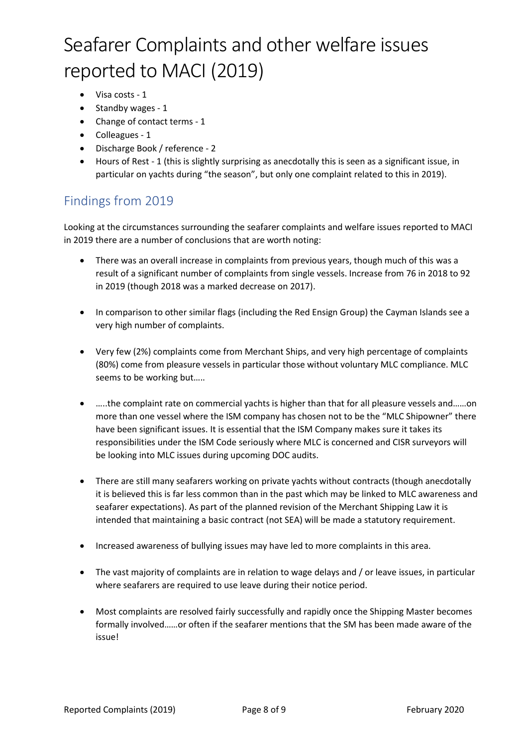- Visa costs 1
- Standby wages 1
- Change of contact terms 1
- Colleagues 1
- Discharge Book / reference 2
- Hours of Rest 1 (this is slightly surprising as anecdotally this is seen as a significant issue, in particular on yachts during "the season", but only one complaint related to this in 2019).

### Findings from 2019

Looking at the circumstances surrounding the seafarer complaints and welfare issues reported to MACI in 2019 there are a number of conclusions that are worth noting:

- There was an overall increase in complaints from previous years, though much of this was a result of a significant number of complaints from single vessels. Increase from 76 in 2018 to 92 in 2019 (though 2018 was a marked decrease on 2017).
- In comparison to other similar flags (including the Red Ensign Group) the Cayman Islands see a very high number of complaints.
- Very few (2%) complaints come from Merchant Ships, and very high percentage of complaints (80%) come from pleasure vessels in particular those without voluntary MLC compliance. MLC seems to be working but…..
- …..the complaint rate on commercial yachts is higher than that for all pleasure vessels and……on more than one vessel where the ISM company has chosen not to be the "MLC Shipowner" there have been significant issues. It is essential that the ISM Company makes sure it takes its responsibilities under the ISM Code seriously where MLC is concerned and CISR surveyors will be looking into MLC issues during upcoming DOC audits.
- There are still many seafarers working on private yachts without contracts (though anecdotally it is believed this is far less common than in the past which may be linked to MLC awareness and seafarer expectations). As part of the planned revision of the Merchant Shipping Law it is intended that maintaining a basic contract (not SEA) will be made a statutory requirement.
- Increased awareness of bullying issues may have led to more complaints in this area.
- The vast majority of complaints are in relation to wage delays and / or leave issues, in particular where seafarers are required to use leave during their notice period.
- Most complaints are resolved fairly successfully and rapidly once the Shipping Master becomes formally involved……or often if the seafarer mentions that the SM has been made aware of the issue!